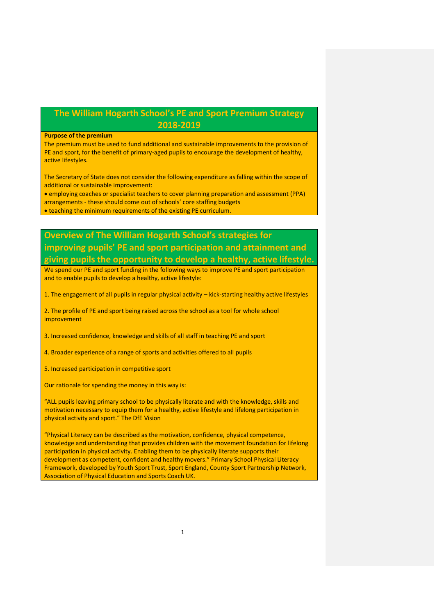## **The William Hogarth School's PE and Sport Premium Strategy 2018-2019**

## **Purpose of the premium**

The premium must be used to fund additional and sustainable improvements to the provision of PE and sport, for the benefit of primary-aged pupils to encourage the development of healthy, active lifestyles.

The Secretary of State does not consider the following expenditure as falling within the scope of additional or sustainable improvement:

 employing coaches or specialist teachers to cover planning preparation and assessment (PPA) arrangements - these should come out of schools' core staffing budgets

teaching the minimum requirements of the existing PE curriculum.

## **Overview of The William Hogarth School's strategies for improving pupils' PE and sport participation and attainment and giving pupils the opportunity to develop a healthy, active lifestyle.**

We spend our PE and sport funding in the following ways to improve PE and sport participation and to enable pupils to develop a healthy, active lifestyle:

1. The engagement of all pupils in regular physical activity – kick-starting healthy active lifestyles

2. The profile of PE and sport being raised across the school as a tool for whole school improvement

3. Increased confidence, knowledge and skills of all staff in teaching PE and sport

4. Broader experience of a range of sports and activities offered to all pupils

5. Increased participation in competitive sport

Our rationale for spending the money in this way is:

"ALL pupils leaving primary school to be physically literate and with the knowledge, skills and motivation necessary to equip them for a healthy, active lifestyle and lifelong participation in physical activity and sport." The DfE Vision

"Physical Literacy can be described as the motivation, confidence, physical competence, knowledge and understanding that provides children with the movement foundation for lifelong participation in physical activity. Enabling them to be physically literate supports their development as competent, confident and healthy movers." Primary School Physical Literacy Framework, developed by Youth Sport Trust, Sport England, County Sport Partnership Network, Association of Physical Education and Sports Coach UK.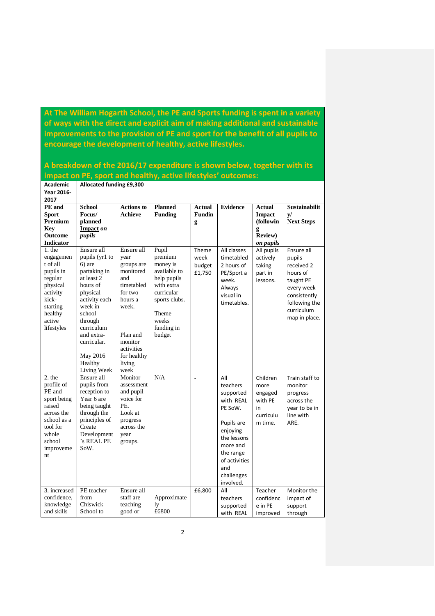**At The William Hogarth School, the PE and Sports funding is spent in a variety of ways with the direct and explicit aim of making additional and sustainable improvements to the provision of PE and sport for the benefit of all pupils to encourage the development of healthy, active lifestyles.** 

|                   | impact on PE, sport and healthy, active lifestyles' outcomes: |                   |                |               |                 |                 |                   |
|-------------------|---------------------------------------------------------------|-------------------|----------------|---------------|-----------------|-----------------|-------------------|
| <b>Academic</b>   | Allocated funding £9,300                                      |                   |                |               |                 |                 |                   |
| Year 2016-        |                                                               |                   |                |               |                 |                 |                   |
| 2017              |                                                               |                   |                |               |                 |                 |                   |
| PE and            | <b>School</b>                                                 | <b>Actions to</b> | <b>Planned</b> | <b>Actual</b> | <b>Evidence</b> | <b>Actual</b>   | Sustainabilit     |
| <b>Sport</b>      | Focus/                                                        | <b>Achieve</b>    | <b>Funding</b> | <b>Fundin</b> |                 | <b>Impact</b>   | $\mathbf{v}/$     |
| Premium           | planned                                                       |                   |                | g             |                 | (followin       | <b>Next Steps</b> |
| <b>Key</b>        | Impact on                                                     |                   |                |               |                 | g               |                   |
| <b>Outcome</b>    | pupils                                                        |                   |                |               |                 | <b>Review</b> ) |                   |
| <b>Indicator</b>  |                                                               |                   |                |               |                 | on pupils       |                   |
| $1.$ the          | Ensure all                                                    | Ensure all        | Pupil          | Theme         | All classes     | All pupils      | Ensure all        |
| engagemen         | pupils (yr1 to                                                | year              | premium        | week          | timetabled      | actively        | pupils            |
| t of all          | $6)$ are                                                      | groups are        | money is       | budget        | 2 hours of      | taking          | received 2        |
| pupils in         | partaking in                                                  | monitored         | available to   | £1,750        | PE/Sport a      | part in         | hours of          |
| regular           | at least 2                                                    | and               | help pupils    |               | week.           | lessons.        | taught PE         |
| physical          | hours of                                                      | timetabled        | with extra     |               | Always          |                 | every week        |
| $activity -$      | physical                                                      | for two           | curricular     |               | visual in       |                 | consistently      |
| kick-             | activity each                                                 | hours a           | sports clubs.  |               | timetables.     |                 | following the     |
| starting          | week in                                                       | week.             |                |               |                 |                 | curriculum        |
| healthy<br>active | school                                                        |                   | Theme<br>weeks |               |                 |                 | map in place.     |
| lifestyles        | through<br>curriculum                                         |                   | funding in     |               |                 |                 |                   |
|                   | and extra-                                                    | Plan and          | budget         |               |                 |                 |                   |
|                   | curricular.                                                   | monitor           |                |               |                 |                 |                   |
|                   |                                                               | activities        |                |               |                 |                 |                   |
|                   | May 2016                                                      | for healthy       |                |               |                 |                 |                   |
|                   | Healthy                                                       | living            |                |               |                 |                 |                   |
|                   | Living Week                                                   | week              |                |               |                 |                 |                   |
| $2.$ the          | Ensure all                                                    | Monitor           | N/A            | $\frac{1}{2}$ | All             | Children        | Train staff to    |
| profile of        | pupils from                                                   | assessment        |                |               | teachers        | more            | monitor           |
| PE and            | reception to                                                  | and pupil         |                |               | supported       | engaged         | progress          |
| sport being       | Year 6 are                                                    | voice for         |                |               | with REAL       | with PE         | across the        |
| raised            | being taught                                                  | PE.               |                |               | PE SoW.         | in              | year to be in     |
| across the        | through the                                                   | Look at           |                |               |                 | curriculu       | line with         |
| school as a       | principles of                                                 | progress          |                |               | Pupils are      | m time.         | ARE.              |
| tool for          | Create                                                        | across the        |                |               | enjoying        |                 |                   |
| whole             | Development                                                   | year              |                |               | the lessons     |                 |                   |
| school            | 's REAL PE                                                    | groups.           |                |               | more and        |                 |                   |
| improveme         | SoW.                                                          |                   |                |               | the range       |                 |                   |
| nt                |                                                               |                   |                |               | of activities   |                 |                   |
|                   |                                                               |                   |                |               | and             |                 |                   |
|                   |                                                               |                   |                |               |                 |                 |                   |
|                   |                                                               |                   |                |               | challenges      |                 |                   |
|                   |                                                               |                   |                |               | involved.       |                 |                   |
| 3. increased      | PE teacher                                                    | Ensure all        |                | £6,800        | All             | Teacher         | Monitor the       |
| confidence,       | from<br>Chiswick                                              | staff are         | Approximate    |               | teachers        | confidenc       | impact of         |
| knowledge         |                                                               | teaching          | ly             |               | supported       | e in PE         | support           |
| and skills        | School to                                                     | good or           | £6800          |               | with REAL       | improved        | through           |

**A breakdown of the 2016/17 expenditure is shown below, together with its**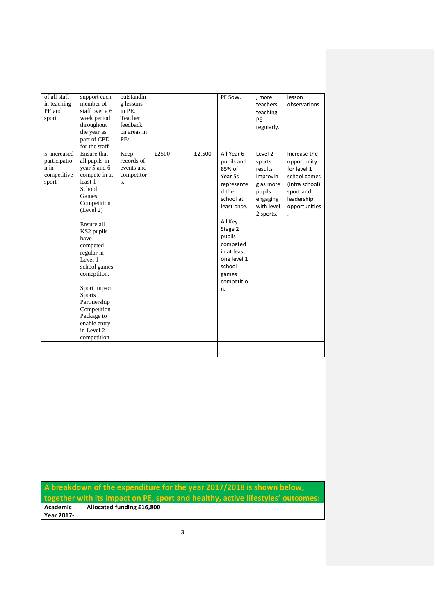| of all staff<br>in teaching<br>PE and<br>sport               | support each<br>member of<br>staff over a 6<br>week period<br>throughout<br>the year as<br>part of CPD<br>for the staff                                                                                                                                                                                                                                   | outstandin<br>g lessons<br>in PE.<br>Teacher<br>feedback<br>on areas in<br>PE/ |       |        | PE SoW.                                                                                                                                                                                                           | , more<br>teachers<br>teaching<br>PE<br>regularly.                                                     | lesson<br>observations                                                                                                   |
|--------------------------------------------------------------|-----------------------------------------------------------------------------------------------------------------------------------------------------------------------------------------------------------------------------------------------------------------------------------------------------------------------------------------------------------|--------------------------------------------------------------------------------|-------|--------|-------------------------------------------------------------------------------------------------------------------------------------------------------------------------------------------------------------------|--------------------------------------------------------------------------------------------------------|--------------------------------------------------------------------------------------------------------------------------|
| 5. increased<br>participatio<br>n in<br>competitive<br>sport | Ensure that<br>all pupils in<br>year 5 and 6<br>compete in at<br>least 1<br>School<br>Games<br>Competition<br>(Level 2)<br>Ensure all<br>KS2 pupils<br>have<br>competed<br>regular in<br>Level 1<br>school games<br>comeptiton.<br>Sport Impact<br><b>Sports</b><br>Partmership<br>Competition<br>Package to<br>enable entry<br>in Level 2<br>competition | Keep<br>records of<br>events and<br>competitor<br>$S_{-}$                      | £2500 | £2,500 | All Year 6<br>pupils and<br>85% of<br>Year 5s<br>represente<br>d the<br>school at<br>least once.<br>All Key<br>Stage 2<br>pupils<br>competed<br>in at least<br>one level 1<br>school<br>games<br>competitio<br>n. | Level 2<br>sports<br>results<br>improvin<br>g as more<br>pupils<br>engaging<br>with level<br>2 sports. | Increase the<br>opportunity<br>for level 1<br>school games<br>(intra school)<br>sport and<br>leadership<br>opportunities |
|                                                              |                                                                                                                                                                                                                                                                                                                                                           |                                                                                |       |        |                                                                                                                                                                                                                   |                                                                                                        |                                                                                                                          |

**A breakdown of the expenditure for the year 2017/2018 is shown below, together with its impact on PE, sport and healthy, active lifestyles' outcomes: Academic Allocated funding £16,800Year 2017-**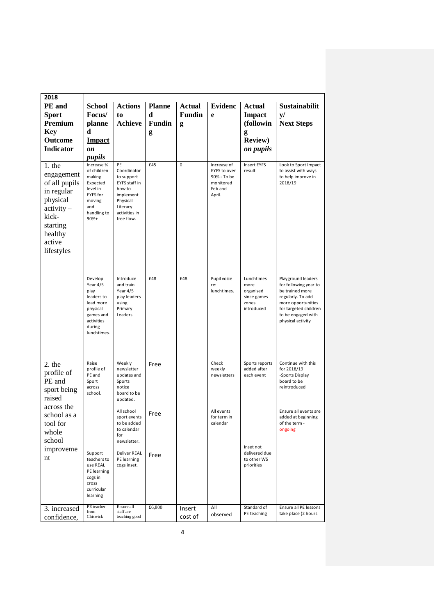| 2018                                                                                                                                      |                                                                                                                        |                                                                                                                                |               |               |                                                                              |                                                                       |                                                                                                                                                                               |
|-------------------------------------------------------------------------------------------------------------------------------------------|------------------------------------------------------------------------------------------------------------------------|--------------------------------------------------------------------------------------------------------------------------------|---------------|---------------|------------------------------------------------------------------------------|-----------------------------------------------------------------------|-------------------------------------------------------------------------------------------------------------------------------------------------------------------------------|
| PE and                                                                                                                                    | <b>School</b>                                                                                                          | <b>Actions</b>                                                                                                                 | <b>Planne</b> | <b>Actual</b> | <b>Evidenc</b>                                                               | <b>Actual</b>                                                         | Sustainabilit                                                                                                                                                                 |
| <b>Sport</b>                                                                                                                              | Focus/                                                                                                                 | to                                                                                                                             | d             | <b>Fundin</b> | e                                                                            | <b>Impact</b>                                                         | y/                                                                                                                                                                            |
| Premium                                                                                                                                   | planne                                                                                                                 | <b>Achieve</b>                                                                                                                 | <b>Fundin</b> | g             |                                                                              | (followin                                                             | <b>Next Steps</b>                                                                                                                                                             |
| <b>Key</b>                                                                                                                                | d                                                                                                                      |                                                                                                                                | g             |               |                                                                              | g                                                                     |                                                                                                                                                                               |
| Outcome                                                                                                                                   | <b>Impact</b>                                                                                                          |                                                                                                                                |               |               |                                                                              | <b>Review)</b>                                                        |                                                                                                                                                                               |
| <b>Indicator</b>                                                                                                                          | on                                                                                                                     |                                                                                                                                |               |               |                                                                              | on pupils                                                             |                                                                                                                                                                               |
|                                                                                                                                           | pupils                                                                                                                 |                                                                                                                                |               |               |                                                                              |                                                                       |                                                                                                                                                                               |
| $1.$ the<br>engagement<br>of all pupils<br>in regular<br>physical<br>$activity -$<br>kick-<br>starting<br>healthy<br>active<br>lifestyles | Increase %<br>of children<br>making<br>Expected<br>level in<br>EYFS for<br>moving<br>and<br>handling to<br>90%+        | PE<br>Coordinator<br>to support<br>EYFS staff in<br>how to<br>implement<br>Physical<br>Literacy<br>activities in<br>free flow. | £45           | 0             | Increase of<br>EYFS to over<br>90% - To be<br>monitored<br>Feb and<br>April. | <b>Insert EYFS</b><br>result                                          | Look to Sport Impact<br>to assist with ways<br>to help improve in<br>2018/19                                                                                                  |
|                                                                                                                                           | Develop<br>Year 4/5<br>play<br>leaders to<br>lead more<br>physical<br>games and<br>activities<br>during<br>lunchtimes. | Introduce<br>and train<br>Year 4/5<br>play leaders<br>using<br>Primary<br>Leaders                                              | £48           | £48           | Pupil voice<br>re:<br>lunchtimes.                                            | Lunchtimes<br>more<br>organised<br>since games<br>zones<br>introduced | Playground leaders<br>for following year to<br>be trained more<br>regularly. To add<br>more opportunities<br>for targeted children<br>to be engaged with<br>physical activity |
| $2.$ the<br>profile of<br>PE and<br>sport being<br>raised<br>across the                                                                   | Raise<br>profile of<br>PE and<br>Sport<br>across<br>school.                                                            | Weekly<br>newsletter<br>updates and<br>Sports<br>notice<br>board to be<br>updated.<br>All school                               | Free          |               | Check<br>weekly<br>newsletters<br>All events                                 | Sports reports<br>added after<br>each event                           | Continue with this<br>for 2018/19<br>-Sports Display<br>board to be<br>reintroduced<br>Ensure all events are                                                                  |
| school as a<br>tool for<br>whole<br>school<br>improveme                                                                                   |                                                                                                                        | sport events<br>to be added<br>to calendar<br>for<br>newsletter.                                                               | Free          |               | for term in<br>calendar                                                      | Inset not                                                             | added at beginning<br>of the term -<br>ongoing                                                                                                                                |
| nt                                                                                                                                        | Support<br>teachers to<br>use REAL<br>PE learning<br>cogs in<br>cross<br>curricular<br>learning                        | Deliver REAL<br>PE learning<br>cogs inset.                                                                                     | Free          |               |                                                                              | delivered due<br>to other WS<br>priorities                            |                                                                                                                                                                               |
| 3. increased                                                                                                                              | PE teacher<br>from                                                                                                     | Ensure all<br>staff are                                                                                                        | £6,800        | Insert        | All                                                                          | Standard of                                                           | Ensure all PE lessons                                                                                                                                                         |
| confidence,                                                                                                                               | Chiswick                                                                                                               | teaching good                                                                                                                  |               | cost of       | observed                                                                     | PE teaching                                                           | take place (2 hours                                                                                                                                                           |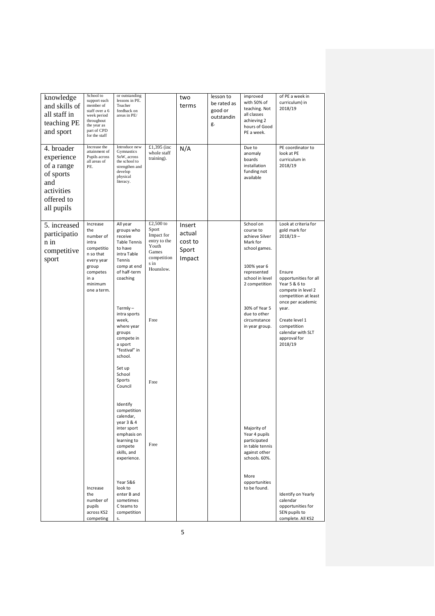| knowledge<br>and skills of<br>all staff in<br>teaching PE<br>and sport                               | School to<br>support each<br>member of<br>staff over a 6<br>week period<br>throughout<br>the year as<br>part of CPD<br>for the staff  | or outstanding<br>lessons in PE.<br>Teacher<br>feedback on<br>areas in PE/                                                               |                                                                                                        | two<br>terms                                   | lesson to<br>be rated as<br>good or<br>outstandin<br>g. | improved<br>with 50% of<br>teaching. Not<br>all classes<br>achieving 2<br>hours of Good<br>PE a week.                                   | of PE a week in<br>curriculum) in<br>2018/19                                                                                                           |
|------------------------------------------------------------------------------------------------------|---------------------------------------------------------------------------------------------------------------------------------------|------------------------------------------------------------------------------------------------------------------------------------------|--------------------------------------------------------------------------------------------------------|------------------------------------------------|---------------------------------------------------------|-----------------------------------------------------------------------------------------------------------------------------------------|--------------------------------------------------------------------------------------------------------------------------------------------------------|
| 4. broader<br>experience<br>of a range<br>of sports<br>and<br>activities<br>offered to<br>all pupils | Increase the<br>attainment of<br>Pupils across<br>all areas of<br>PE.                                                                 | Introduce new<br>Gymnastics<br>SoW, across<br>the school to<br>strengthen and<br>develop<br>physical<br>literacy.                        | £1,395 (inc.<br>whole staff<br>training).                                                              | N/A                                            |                                                         | Due to<br>anomaly<br>boards<br>installation<br>funding not<br>available                                                                 | PE coordinator to<br>look at PE<br>curriculum in<br>2018/19                                                                                            |
| 5. increased<br>participatio<br>n in<br>competitive<br>sport                                         | Increase<br>the<br>number of<br>intra<br>competitio<br>n so that<br>every year<br>group<br>competes<br>in a<br>minimum<br>one a term. | All year<br>groups who<br>receive<br><b>Table Tennis</b><br>to have<br>intra Table<br>Tennis<br>comp at end<br>of half-term<br>coaching  | £2,500 to<br>Sport<br>Impact for<br>entry to the<br>Youth<br>Games<br>competition<br>s in<br>Hounslow. | Insert<br>actual<br>cost to<br>Sport<br>Impact |                                                         | School on<br>course to<br>achieve Silver<br>Mark for<br>school games.<br>100% year 6<br>represented<br>school in level<br>2 competition | Look at criteria for<br>gold mark for<br>$2018/19 -$<br>Ensure<br>opportunities for all<br>Year 5 & 6 to<br>compete in level 2<br>competition at least |
|                                                                                                      |                                                                                                                                       | $Termly -$<br>intra sports<br>week,<br>where year<br>groups<br>compete in<br>a sport<br>"festival" in<br>school.                         | Free                                                                                                   |                                                |                                                         | 30% of Year 5<br>due to other<br>circumstance<br>in year group.                                                                         | once per academic<br>year.<br>Create level 1<br>competition<br>calendar with SLT<br>approval for<br>2018/19                                            |
|                                                                                                      |                                                                                                                                       | Set up<br>School<br>Sports<br>Council                                                                                                    | Free                                                                                                   |                                                |                                                         |                                                                                                                                         |                                                                                                                                                        |
|                                                                                                      |                                                                                                                                       | Identify<br>competition<br>calendar,<br>year 3 & 4<br>inter sport<br>emphasis on<br>learning to<br>compete<br>skills, and<br>experience. | Free                                                                                                   |                                                |                                                         | Majority of<br>Year 4 pupils<br>participated<br>in table tennis<br>against other<br>schools. 60%.                                       |                                                                                                                                                        |
|                                                                                                      | Increase<br>the<br>number of<br>pupils<br>across KS2<br>competing                                                                     | Year 5&6<br>look to<br>enter B and<br>sometimes<br>C teams to<br>competition<br>s.                                                       |                                                                                                        |                                                |                                                         | More<br>opportunities<br>to be found.                                                                                                   | Identify on Yearly<br>calendar<br>opportunities for<br>SEN pupils to<br>complete. All KS2                                                              |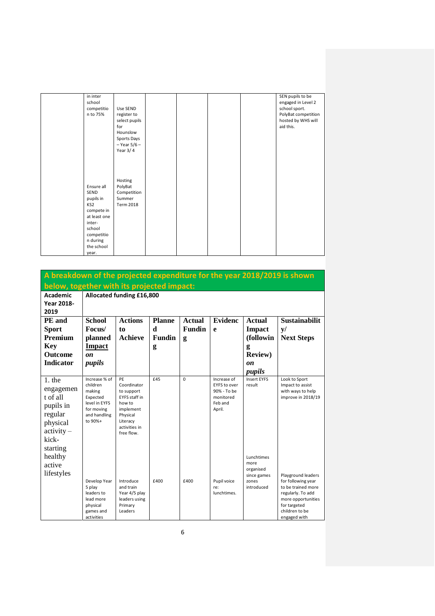| in inter<br>school<br>competitio<br>n to 75%                                                                                                     | Use SEND<br>register to<br>select pupils<br>for<br>Hounslow<br>Sports Days<br>$-$ Year 5/6 $-$<br>Year $3/4$ |  |  | SEN pupils to be<br>engaged in Level 2<br>school sport.<br>PolyBat competition<br>hosted by WHS will<br>aid this. |
|--------------------------------------------------------------------------------------------------------------------------------------------------|--------------------------------------------------------------------------------------------------------------|--|--|-------------------------------------------------------------------------------------------------------------------|
| Ensure all<br><b>SEND</b><br>pupils in<br>KS2<br>compete in<br>at least one<br>inter-<br>school<br>competitio<br>n during<br>the school<br>year. | Hosting<br>PolyBat<br>Competition<br>Summer<br><b>Term 2018</b>                                              |  |  |                                                                                                                   |

| A breakdown of the projected expenditure for the year 2018/2019 is shown                              |                                                                                                                              |                                                                                                                                       |               |               |                                                                                     |                                                                       |                                                                                                                                                             |  |  |  |  |  |  |
|-------------------------------------------------------------------------------------------------------|------------------------------------------------------------------------------------------------------------------------------|---------------------------------------------------------------------------------------------------------------------------------------|---------------|---------------|-------------------------------------------------------------------------------------|-----------------------------------------------------------------------|-------------------------------------------------------------------------------------------------------------------------------------------------------------|--|--|--|--|--|--|
| below, together with its projected impact:                                                            |                                                                                                                              |                                                                                                                                       |               |               |                                                                                     |                                                                       |                                                                                                                                                             |  |  |  |  |  |  |
| <b>Academic</b>                                                                                       | Allocated funding £16,800                                                                                                    |                                                                                                                                       |               |               |                                                                                     |                                                                       |                                                                                                                                                             |  |  |  |  |  |  |
| <b>Year 2018-</b>                                                                                     |                                                                                                                              |                                                                                                                                       |               |               |                                                                                     |                                                                       |                                                                                                                                                             |  |  |  |  |  |  |
| 2019                                                                                                  |                                                                                                                              |                                                                                                                                       |               |               |                                                                                     |                                                                       |                                                                                                                                                             |  |  |  |  |  |  |
| PE and                                                                                                | <b>Actions</b><br><b>School</b><br><b>Evidenc</b><br><b>Sustainabilit</b><br><b>Planne</b><br><b>Actual</b><br><b>Actual</b> |                                                                                                                                       |               |               |                                                                                     |                                                                       |                                                                                                                                                             |  |  |  |  |  |  |
| <b>Sport</b>                                                                                          | Focus/                                                                                                                       | to                                                                                                                                    | d             | <b>Fundin</b> | e                                                                                   | <b>Impact</b>                                                         | y/                                                                                                                                                          |  |  |  |  |  |  |
| <b>Premium</b>                                                                                        | planned                                                                                                                      | <b>Achieve</b>                                                                                                                        | <b>Fundin</b> | g             |                                                                                     | (followin                                                             | <b>Next Steps</b>                                                                                                                                           |  |  |  |  |  |  |
| <b>Key</b>                                                                                            | <b>Impact</b>                                                                                                                |                                                                                                                                       | g             |               |                                                                                     | g                                                                     |                                                                                                                                                             |  |  |  |  |  |  |
| <b>Outcome</b>                                                                                        | $\mathbf{on}$                                                                                                                |                                                                                                                                       |               |               |                                                                                     | <b>Review</b> )                                                       |                                                                                                                                                             |  |  |  |  |  |  |
| <b>Indicator</b>                                                                                      | pupils                                                                                                                       |                                                                                                                                       |               |               |                                                                                     | $\mathbf{0}n$                                                         |                                                                                                                                                             |  |  |  |  |  |  |
|                                                                                                       |                                                                                                                              |                                                                                                                                       |               |               |                                                                                     | pupils                                                                |                                                                                                                                                             |  |  |  |  |  |  |
| $1.$ the<br>engagemen<br>t of all<br>pupils in<br>regular<br>physical<br>$\text{activity} -$<br>kick- | Increase % of<br>children<br>making<br>Expected<br>level in EYFS<br>for moving<br>and handling<br>to 90%+                    | PE<br>Coordinator<br>to support<br><b>EYFS</b> staff in<br>how to<br>implement<br>Physical<br>Literacy<br>activities in<br>free flow. | £45           | $\Omega$      | Increase of<br><b>EYFS to over</b><br>90% - To be<br>monitored<br>Feb and<br>April. | <b>Insert EYES</b><br>result                                          | Look to Sport<br>Impact to assist<br>with ways to help<br>improve in 2018/19                                                                                |  |  |  |  |  |  |
| starting<br>healthy<br>active<br>lifestyles                                                           | Develop Year<br>5 play<br>leaders to<br>lead more<br>physical<br>games and<br>activities                                     | Introduce<br>and train<br>Year 4/5 play<br>leaders using<br>Primary<br>Leaders                                                        | £400          | £400          | Pupil voice<br>re:<br>lunchtimes.                                                   | Lunchtimes<br>more<br>organised<br>since games<br>zones<br>introduced | Playground leaders<br>for following year<br>to be trained more<br>regularly. To add<br>more opportunities<br>for targeted<br>children to be<br>engaged with |  |  |  |  |  |  |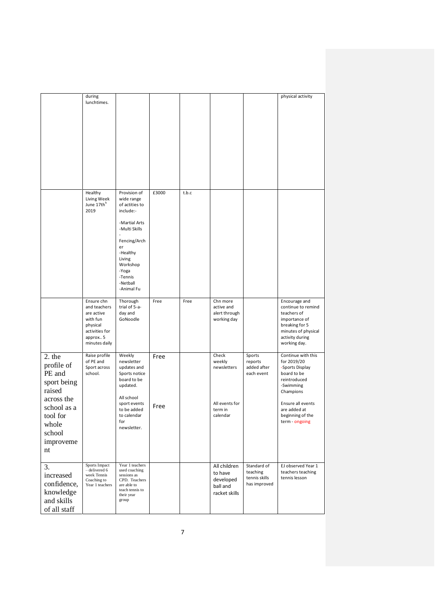|                                                                                                                                        | during<br>lunchtimes.                                                                                           |                                                                                                                                                                                                   |              |       |                                                                         |                                                          | physical activity                                                                                                                                                                        |
|----------------------------------------------------------------------------------------------------------------------------------------|-----------------------------------------------------------------------------------------------------------------|---------------------------------------------------------------------------------------------------------------------------------------------------------------------------------------------------|--------------|-------|-------------------------------------------------------------------------|----------------------------------------------------------|------------------------------------------------------------------------------------------------------------------------------------------------------------------------------------------|
|                                                                                                                                        | Healthy<br>Living Week<br>June 17th <sup>h</sup><br>2019                                                        | Provision of<br>wide range<br>of actities to<br>include:-<br>-Martial Arts<br>-Multi Skills<br>Fencing/Arch<br>er<br>-Healthy<br>Living<br>Workshop<br>-Yoga<br>-Tennis<br>-Netball<br>-Animal Fu | £3000        | t.b.c |                                                                         |                                                          |                                                                                                                                                                                          |
|                                                                                                                                        | Ensure chn<br>and teachers<br>are active<br>with fun<br>physical<br>activities for<br>approx 5<br>minutes daily | Thorough<br>trial of 5-a-<br>day and<br>GoNoodle                                                                                                                                                  | Free         | Free  | Chn more<br>active and<br>alert through<br>working day                  |                                                          | Encourage and<br>continue to remind<br>teachers of<br>importance of<br>breaking for 5<br>minutes of physical<br>activity during<br>working day.                                          |
| 2. the<br>profile of<br>PE and<br>sport being<br>raised<br>across the<br>school as a<br>tool for<br>whole<br>school<br>improveme<br>nt | Raise profile<br>of PE and<br>Sport across<br>school.                                                           | Weekly<br>newsletter<br>updates and<br>Sports notice<br>board to be<br>updated.<br>All school<br>sport events<br>to be added<br>to calendar<br>for<br>newsletter.                                 | Free<br>Free |       | Check<br>weekly<br>newsletters<br>All events for<br>term in<br>calendar | Sports<br>reports<br>added after<br>each event           | Continue with this<br>for 2019/20<br>-Sports Display<br>board to be<br>reintroduced<br>-Swimming<br>Champions<br>Ensure all events<br>are added at<br>beginning of the<br>term - ongoing |
| 3.<br>increased<br>confidence,<br>knowledge<br>and skills<br>of all staff                                                              | Sports Impact<br>- delivered 6<br>week Tennis<br>Coaching to<br>Year 1 teachers                                 | Year 1 teachers<br>used coaching<br>sessions as<br>CPD. Teachers<br>are able to<br>teach tennis to<br>their year<br>group                                                                         |              |       | All children<br>to have<br>developed<br>ball and<br>racket skills       | Standard of<br>teaching<br>tennis skills<br>has improved | EJ observed Year 1<br>teachers teaching<br>tennis lesson                                                                                                                                 |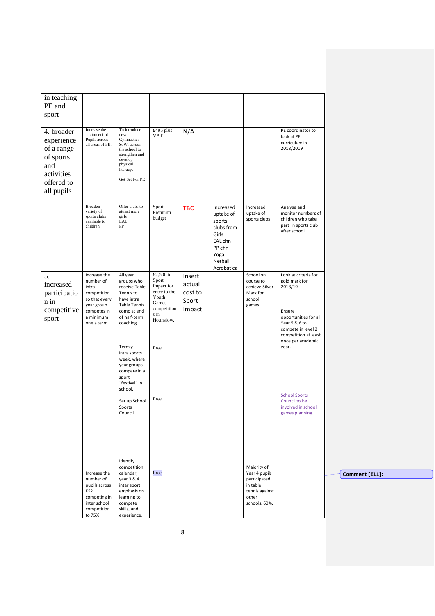| in teaching<br>PE and<br>sport                                                                       |                                                                                                                             |                                                                                                                                                                                                                                                                                             |                                                                                                                        |                                                |                                                                                                               |                                                                                                      |                                                                                                                                                                                                                                                                        |                       |
|------------------------------------------------------------------------------------------------------|-----------------------------------------------------------------------------------------------------------------------------|---------------------------------------------------------------------------------------------------------------------------------------------------------------------------------------------------------------------------------------------------------------------------------------------|------------------------------------------------------------------------------------------------------------------------|------------------------------------------------|---------------------------------------------------------------------------------------------------------------|------------------------------------------------------------------------------------------------------|------------------------------------------------------------------------------------------------------------------------------------------------------------------------------------------------------------------------------------------------------------------------|-----------------------|
| 4. broader<br>experience<br>of a range<br>of sports<br>and<br>activities<br>offered to<br>all pupils | Increase the<br>attainment of<br>Pupils across<br>all areas of PE.                                                          | To introduce<br>new<br>Gymnastics<br>SoW, across<br>the school to<br>strengthen and<br>develop<br>physical<br>literacy.<br>Get Set For PE                                                                                                                                                   | £495 plus<br><b>VAT</b>                                                                                                | N/A                                            |                                                                                                               |                                                                                                      | PE coordinator to<br>look at PE<br>curriculum in<br>2018/2019                                                                                                                                                                                                          |                       |
|                                                                                                      | Broaden<br>variety of<br>sports clubs<br>available to<br>children                                                           | Offer clubs to<br>attract more<br>girls<br>EAL<br>${\rm PP}$                                                                                                                                                                                                                                | Sport<br>Premium<br>budget                                                                                             | <b>TBC</b>                                     | Increased<br>uptake of<br>sports<br>clubs from<br>Girls<br>EAL chn<br>PP chn<br>Yoga<br>Netball<br>Acrobatics | Increased<br>uptake of<br>sports clubs                                                               | Analyse and<br>monitor numbers of<br>children who take<br>part in sports club<br>after school.                                                                                                                                                                         |                       |
| 5.<br>increased<br>participatio<br>n in<br>competitive<br>sport                                      | Increase the<br>number of<br>intra<br>competition<br>so that every<br>year group<br>competes in<br>a minimum<br>one a term. | All year<br>groups who<br>receive Table<br>Tennis to<br>have intra<br><b>Table Tennis</b><br>comp at end<br>of half-term<br>coaching<br>$Termly -$<br>intra sports<br>week, where<br>year groups<br>compete in a<br>sport<br>"festival" in<br>school.<br>Set up School<br>Sports<br>Council | £2,500 to<br>Sport<br>Impact for<br>entry to the<br>Youth<br>Games<br>competition<br>s in<br>Hounslow.<br>Free<br>Free | Insert<br>actual<br>cost to<br>Sport<br>Impact |                                                                                                               | School on<br>course to<br>achieve Silver<br>Mark for<br>school<br>games.                             | Look at criteria for<br>gold mark for<br>$2018/19 -$<br>Ensure<br>opportunities for all<br>Year 5 & 6 to<br>compete in level 2<br>competition at least<br>once per academic<br>year.<br><b>School Sports</b><br>Council to be<br>involved in school<br>games planning. |                       |
|                                                                                                      | Increase the<br>number of<br>pupils across<br>KS <sub>2</sub><br>competing in<br>inter school<br>competition<br>to 75%      | Identify<br>competition<br>calendar,<br>year 3 & 4<br>inter sport<br>emphasis on<br>learning to<br>compete<br>skills, and<br>experience.                                                                                                                                                    | Free                                                                                                                   |                                                |                                                                                                               | Majority of<br>Year 4 pupils<br>participated<br>in table<br>tennis against<br>other<br>schools. 60%. |                                                                                                                                                                                                                                                                        | <b>Comment [EL1]:</b> |